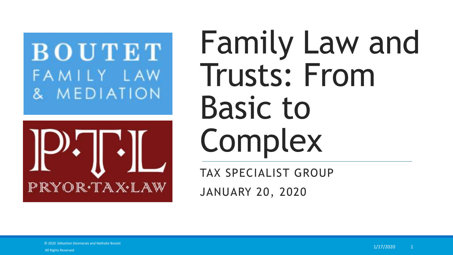# BOUTET FAMILY LAW & MEDIATION



# Family Law and Trusts: From Basic to Complex

TAX SPECIALIST GROUP

JANUARY 20, 2020

© 2020 Sébastien Desmarais and Nathalie Boutet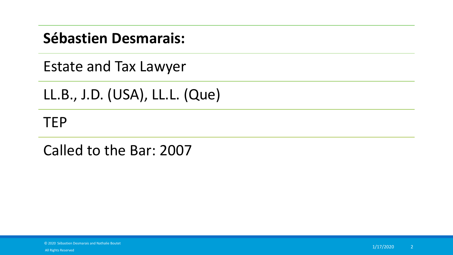### **Sébastien Desmarais:**

Estate and Tax Lawyer

LL.B., J.D. (USA), LL.L. (Que)

### **TEP**

Called to the Bar: 2007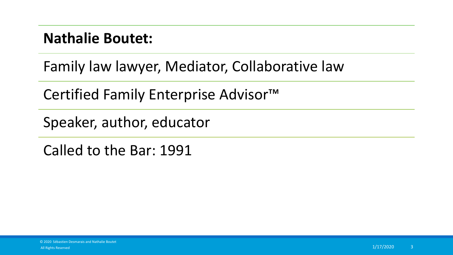### **Nathalie Boutet:**

Family law lawyer, Mediator, Collaborative law

Certified Family Enterprise Advisor™

Speaker, author, educator

Called to the Bar: 1991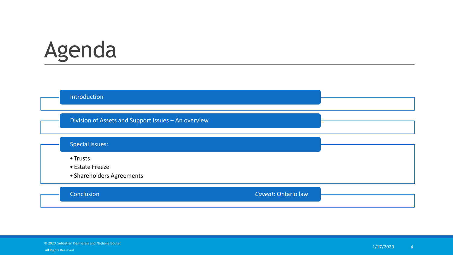# Agenda

Introduction

Division of Assets and Support Issues – An overview

#### Special issues:

• Trusts

- Estate Freeze
- Shareholders Agreements

#### Conclusion *Caveat*: Ontario law

© 2020 Sébastien Desmarais and Nathalie Boutet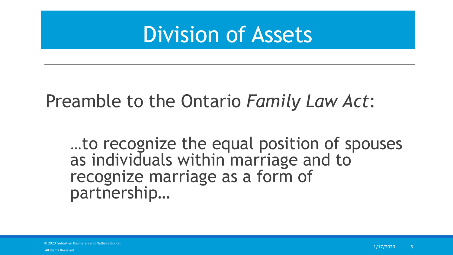## Division of Assets

### Preamble to the Ontario *Family Law Act*:

…to recognize the equal position of spouses as individuals within marriage and to recognize marriage as a form of partnership…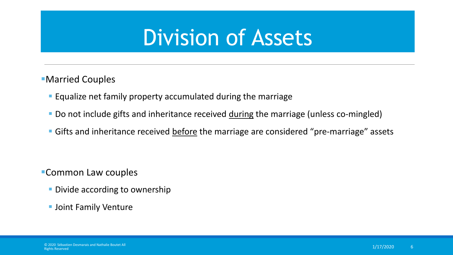# Division of Assets

- Married Couples
	- **Equalize net family property accumulated during the marriage**
	- Do not include gifts and inheritance received during the marriage (unless co-mingled)
	- **Gifts and inheritance received before the marriage are considered "pre-marriage" assets**

- Common Law couples
	- **Divide according to ownership**
	- **Joint Family Venture**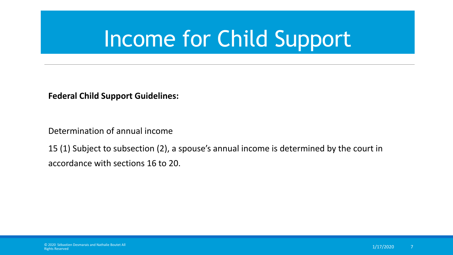# Income for Child Support

**Federal Child Support Guidelines:**

Determination of annual income

15 (1) Subject to subsection (2), a spouse's annual income is determined by the court in accordance with sections 16 to 20.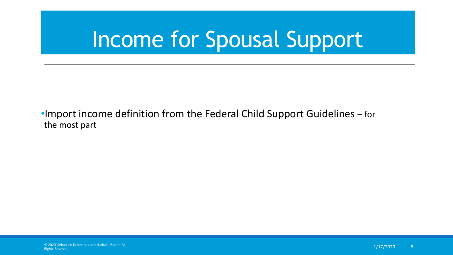# Income for Spousal Support

### •Import income definition from the Federal Child Support Guidelines – for the most part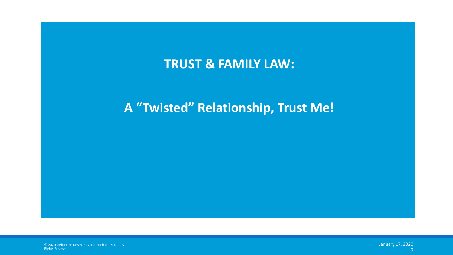### **TRUST & FAMILY LAW:**

### **A "Twisted" Relationship, Trust Me!**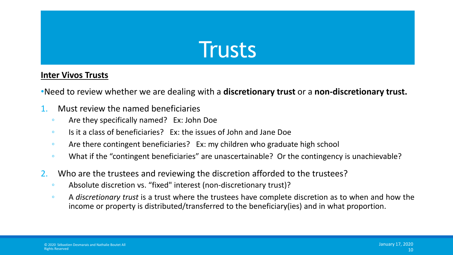#### **Inter Vivos Trusts**

•Need to review whether we are dealing with a **discretionary trust** or a **non-discretionary trust.**

- 1. Must review the named beneficiaries
	- Are they specifically named? Ex: John Doe
	- Is it a class of beneficiaries? Ex: the issues of John and Jane Doe
	- Are there contingent beneficiaries? Ex: my children who graduate high school
	- What if the "contingent beneficiaries" are unascertainable? Or the contingency is unachievable?
- 2. Who are the trustees and reviewing the discretion afforded to the trustees?
	- Absolute discretion vs. "fixed" interest (non-discretionary trust)?
	- A *discretionary trust* is a trust where the trustees have complete discretion as to when and how the income or property is distributed/transferred to the beneficiary(ies) and in what proportion.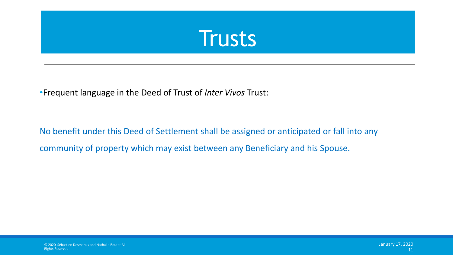

•Frequent language in the Deed of Trust of *Inter Vivos* Trust:

No benefit under this Deed of Settlement shall be assigned or anticipated or fall into any community of property which may exist between any Beneficiary and his Spouse.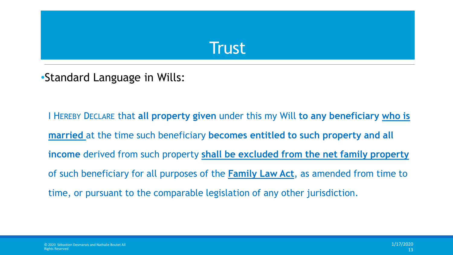•Standard Language in Wills:

I HEREBY DECLARE that **all property given** under this my Will **to any beneficiary who is married** at the time such beneficiary **becomes entitled to such property and all income** derived from such property **shall be excluded from the net family property**  of such beneficiary for all purposes of the **Family Law Act**, as amended from time to time, or pursuant to the comparable legislation of any other jurisdiction.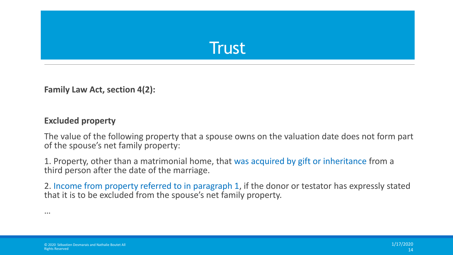

**Family Law Act, section 4(2):**

#### **Excluded property**

The value of the following property that a spouse owns on the valuation date does not form part of the spouse's net family property:

1. Property, other than a matrimonial home, that was acquired by gift or inheritance from a third person after the date of the marriage.

2. Income from property referred to in paragraph 1, if the donor or testator has expressly stated that it is to be excluded from the spouse's net family property.

…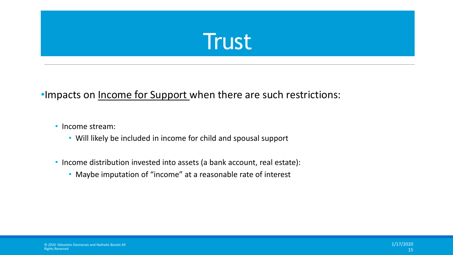### •Impacts on Income for Support when there are such restrictions:

• Income stream:

- Will likely be included in income for child and spousal support
- Income distribution invested into assets (a bank account, real estate):
	- Maybe imputation of "income" at a reasonable rate of interest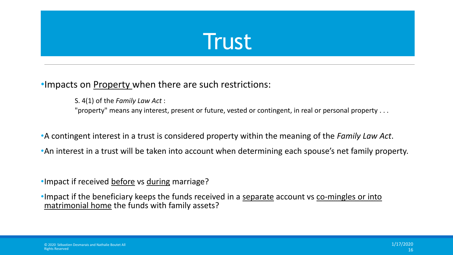### •Impacts on Property when there are such restrictions:

S. 4(1) of the *Family Law Act* :

"property" means any interest, present or future, vested or contingent, in real or personal property . . .

•A contingent interest in a trust is considered property within the meaning of the *Family Law Act*.

•An interest in a trust will be taken into account when determining each spouse's net family property.

• Impact if received before vs during marriage?

• Impact if the beneficiary keeps the funds received in a separate account vs co-mingles or into matrimonial home the funds with family assets?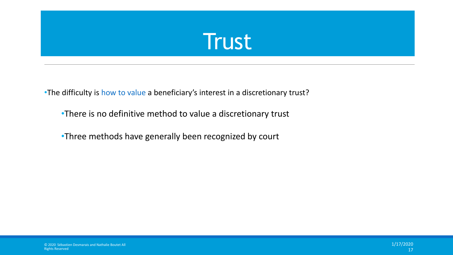•The difficulty is how to value a beneficiary's interest in a discretionary trust?

- •There is no definitive method to value a discretionary trust
- •Three methods have generally been recognized by court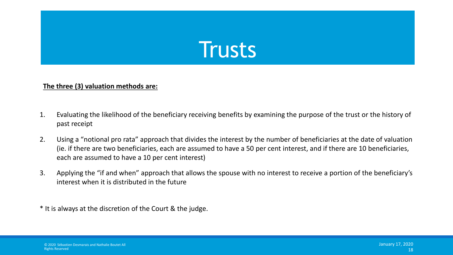

#### **The three (3) valuation methods are:**

- 1. Evaluating the likelihood of the beneficiary receiving benefits by examining the purpose of the trust or the history of past receipt
- 2. Using a "notional pro rata" approach that divides the interest by the number of beneficiaries at the date of valuation (ie. if there are two beneficiaries, each are assumed to have a 50 per cent interest, and if there are 10 beneficiaries, each are assumed to have a 10 per cent interest)
- 3. Applying the "if and when" approach that allows the spouse with no interest to receive a portion of the beneficiary's interest when it is distributed in the future

\* It is always at the discretion of the Court & the judge.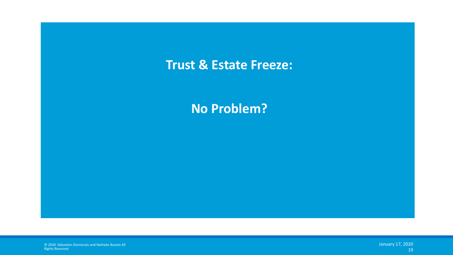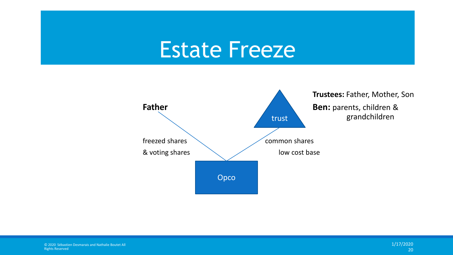# Estate Freeze

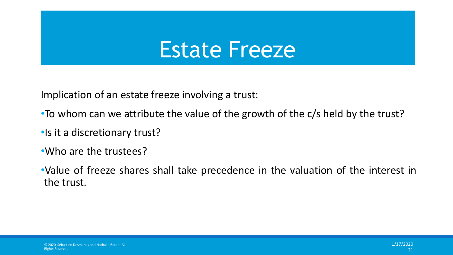# Estate Freeze

Implication of an estate freeze involving a trust:

- To whom can we attribute the value of the growth of the c/s held by the trust?
- •Is it a discretionary trust?
- •Who are the trustees?
- •Value of freeze shares shall take precedence in the valuation of the interest in the trust.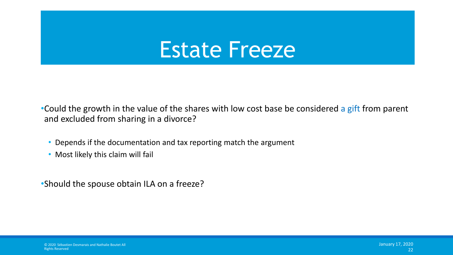# **Estate Freeze**

•Could the growth in the value of the shares with low cost base be considered a gift from parent and excluded from sharing in a divorce?

- Depends if the documentation and tax reporting match the argument
- Most likely this claim will fail
- •Should the spouse obtain ILA on a freeze?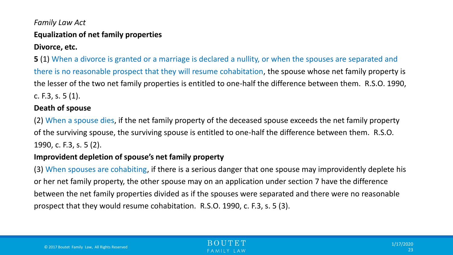### *Family Law Act* **Equalization of net family properties**

#### **Divorce, etc.**

**5** (1) When a divorce is granted or a marriage is declared a nullity, or when the spouses are separated and there is no reasonable prospect that they will resume cohabitation, the spouse whose net family property is the lesser of the two net family properties is entitled to one-half the difference between them. R.S.O. 1990, c. F.3, s. 5 (1).

#### **Death of spouse**

(2) When a spouse dies, if the net family property of the deceased spouse exceeds the net family property of the surviving spouse, the surviving spouse is entitled to one-half the difference between them. R.S.O. 1990, c. F.3, s. 5 (2).

#### **Improvident depletion of spouse's net family property**

(3) When spouses are cohabiting, if there is a serious danger that one spouse may improvidently deplete his or her net family property, the other spouse may on an application under section 7 have the difference between the net family properties divided as if the spouses were separated and there were no reasonable prospect that they would resume cohabitation. R.S.O. 1990, c. F.3, s. 5 (3).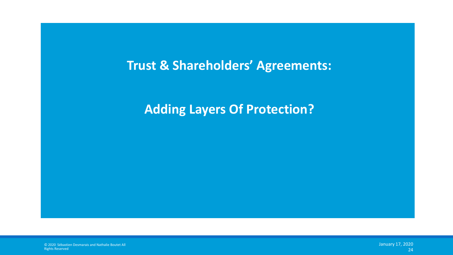### **Trust & Shareholders' Agreements:**

### **Adding Layers Of Protection?**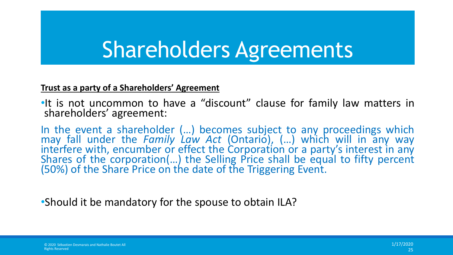# Shareholders Agreements

#### **Trust as a party of a Shareholders' Agreement**

•It is not uncommon to have a "discount" clause for family law matters in shareholders' agreement:

In the event a shareholder (…) becomes subject to any proceedings which may fall under the *Family Law Act* (Ontario), (…) which will in any way interfere with, encumber or effect the Corporation or a party's interest in any Shares of the corporation(...) the Selling Price shall be equal to fifty percent (50%) of the Share Price on the date of the Triggering Event.

•Should it be mandatory for the spouse to obtain ILA?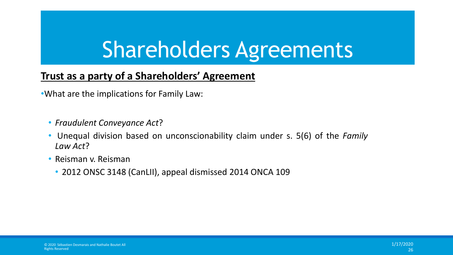# Shareholders Agreements

### **Trust as a party of a Shareholders' Agreement**

•What are the implications for Family Law:

- *Fraudulent Conveyance Act*?
- Unequal division based on unconscionability claim under s. 5(6) of the *Family Law Act*?
- Reisman v. Reisman
	- 2012 ONSC 3148 (CanLII), appeal dismissed 2014 ONCA 109